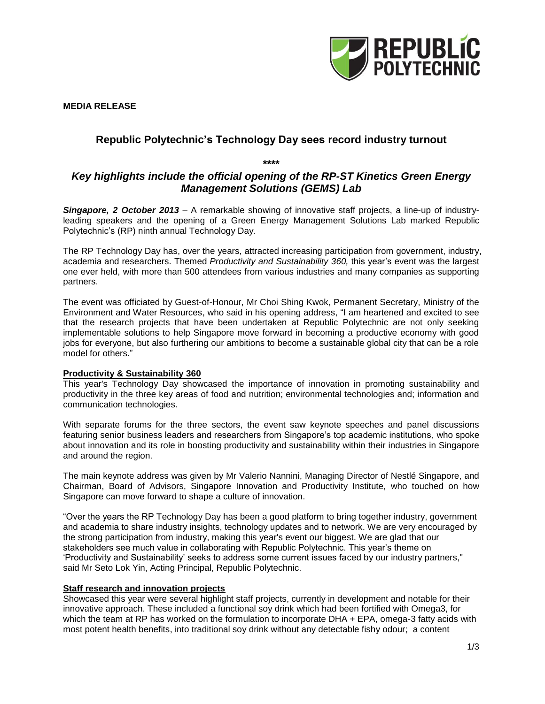

**MEDIA RELEASE**

# **Republic Polytechnic's Technology Day sees record industry turnout**

**\*\*\*\*** *Key highlights include the official opening of the RP-ST Kinetics Green Energy Management Solutions (GEMS) Lab*

*Singapore, 2 October 2013* – A remarkable showing of innovative staff projects, a line-up of industryleading speakers and the opening of a Green Energy Management Solutions Lab marked Republic Polytechnic's (RP) ninth annual Technology Day.

The RP Technology Day has, over the years, attracted increasing participation from government, industry, academia and researchers. Themed *Productivity and Sustainability 360,* this year's event was the largest one ever held, with more than 500 attendees from various industries and many companies as supporting partners.

The event was officiated by Guest-of-Honour, Mr Choi Shing Kwok, Permanent Secretary, Ministry of the Environment and Water Resources, who said in his opening address, "I am heartened and excited to see that the research projects that have been undertaken at Republic Polytechnic are not only seeking implementable solutions to help Singapore move forward in becoming a productive economy with good jobs for everyone, but also furthering our ambitions to become a sustainable global city that can be a role model for others."

## **Productivity & Sustainability 360**

This year's Technology Day showcased the importance of innovation in promoting sustainability and productivity in the three key areas of food and nutrition; environmental technologies and; information and communication technologies.

With separate forums for the three sectors, the event saw keynote speeches and panel discussions featuring senior business leaders and researchers from Singapore's top academic institutions, who spoke about innovation and its role in boosting productivity and sustainability within their industries in Singapore and around the region.

The main keynote address was given by Mr Valerio Nannini, Managing Director of Nestlé Singapore, and Chairman, Board of Advisors, Singapore Innovation and Productivity Institute, who touched on how Singapore can move forward to shape a culture of innovation.

"Over the years the RP Technology Day has been a good platform to bring together industry, government and academia to share industry insights, technology updates and to network. We are very encouraged by the strong participation from industry, making this year's event our biggest. We are glad that our stakeholders see much value in collaborating with Republic Polytechnic. This year's theme on 'Productivity and Sustainability' seeks to address some current issues faced by our industry partners," said Mr Seto Lok Yin, Acting Principal, Republic Polytechnic.

### **Staff research and innovation projects**

Showcased this year were several highlight staff projects, currently in development and notable for their innovative approach. These included a functional soy drink which had been fortified with Omega3, for which the team at RP has worked on the formulation to incorporate DHA + EPA, omega-3 fatty acids with most potent health benefits, into traditional soy drink without any detectable fishy odour; a content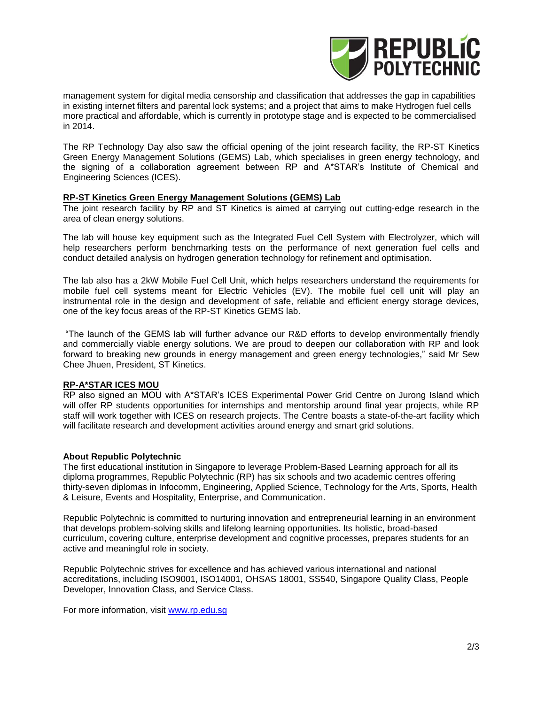

management system for digital media censorship and classification that addresses the gap in capabilities in existing internet filters and parental lock systems; and a project that aims to make Hydrogen fuel cells more practical and affordable, which is currently in prototype stage and is expected to be commercialised in 2014.

The RP Technology Day also saw the official opening of the joint research facility, the RP-ST Kinetics Green Energy Management Solutions (GEMS) Lab, which specialises in green energy technology, and the signing of a collaboration agreement between RP and A\*STAR's Institute of Chemical and Engineering Sciences (ICES).

## **RP-ST Kinetics Green Energy Management Solutions (GEMS) Lab**

The joint research facility by RP and ST Kinetics is aimed at carrying out cutting-edge research in the area of clean energy solutions.

The lab will house key equipment such as the Integrated Fuel Cell System with Electrolyzer, which will help researchers perform benchmarking tests on the performance of next generation fuel cells and conduct detailed analysis on hydrogen generation technology for refinement and optimisation.

The lab also has a 2kW Mobile Fuel Cell Unit, which helps researchers understand the requirements for mobile fuel cell systems meant for Electric Vehicles (EV). The mobile fuel cell unit will play an instrumental role in the design and development of safe, reliable and efficient energy storage devices, one of the key focus areas of the RP-ST Kinetics GEMS lab.

"The launch of the GEMS lab will further advance our R&D efforts to develop environmentally friendly and commercially viable energy solutions. We are proud to deepen our collaboration with RP and look forward to breaking new grounds in energy management and green energy technologies," said Mr Sew Chee Jhuen, President, ST Kinetics.

### **RP-A\*STAR ICES MOU**

RP also signed an MOU with A\*STAR's ICES Experimental Power Grid Centre on Jurong Island which will offer RP students opportunities for internships and mentorship around final year projects, while RP staff will work together with ICES on research projects. The Centre boasts a state-of-the-art facility which will facilitate research and development activities around energy and smart grid solutions.

#### **About Republic Polytechnic**

The first educational institution in Singapore to leverage Problem-Based Learning approach for all its diploma programmes, Republic Polytechnic (RP) has six schools and two academic centres offering thirty-seven diplomas in Infocomm, Engineering, Applied Science, Technology for the Arts, Sports, Health & Leisure, Events and Hospitality, Enterprise, and Communication.

Republic Polytechnic is committed to nurturing innovation and entrepreneurial learning in an environment that develops problem-solving skills and lifelong learning opportunities. Its holistic, broad-based curriculum, covering culture, enterprise development and cognitive processes, prepares students for an active and meaningful role in society.

Republic Polytechnic strives for excellence and has achieved various international and national accreditations, including ISO9001, ISO14001, OHSAS 18001, SS540, Singapore Quality Class, People Developer, Innovation Class, and Service Class.

For more information, visit [www.rp.edu.sg](http://www.rp.edu.sg/)